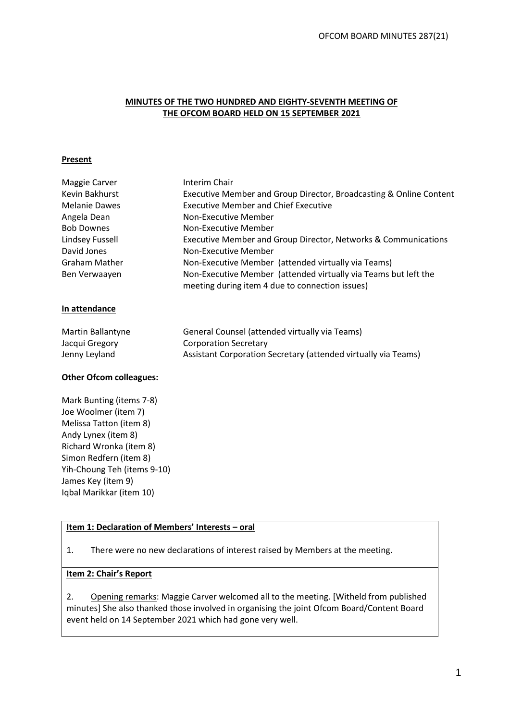### **MINUTES OF THE TWO HUNDRED AND EIGHTY-SEVENTH MEETING OF THE OFCOM BOARD HELD ON 15 SEPTEMBER 2021**

#### **Present**

| Maggie Carver                  | Interim Chair                                                                                                      |
|--------------------------------|--------------------------------------------------------------------------------------------------------------------|
| Kevin Bakhurst                 | Executive Member and Group Director, Broadcasting & Online Content                                                 |
| <b>Melanie Dawes</b>           | <b>Executive Member and Chief Executive</b>                                                                        |
| Angela Dean                    | Non-Executive Member                                                                                               |
| <b>Bob Downes</b>              | Non-Executive Member                                                                                               |
| Lindsey Fussell                | Executive Member and Group Director, Networks & Communications                                                     |
| David Jones                    | Non-Executive Member                                                                                               |
| Graham Mather                  | Non-Executive Member (attended virtually via Teams)                                                                |
| Ben Verwaayen                  | Non-Executive Member (attended virtually via Teams but left the<br>meeting during item 4 due to connection issues) |
| In attendance                  |                                                                                                                    |
| Martin Ballantyne              | General Counsel (attended virtually via Teams)                                                                     |
| Jacqui Gregory                 | <b>Corporation Secretary</b>                                                                                       |
| Jenny Leyland                  | Assistant Corporation Secretary (attended virtually via Teams)                                                     |
| <b>Other Ofcom colleagues:</b> |                                                                                                                    |
| Mark Bunting (items 7-8)       |                                                                                                                    |
| Joe Woolmer (item 7)           |                                                                                                                    |
| Melissa Tatton (item 8)        |                                                                                                                    |
| Andy Lynex (item 8)            |                                                                                                                    |
| Richard Wronka (item 8)        |                                                                                                                    |

## **Item 1: Declaration of Members' Interests – oral**

1. There were no new declarations of interest raised by Members at the meeting.

#### **Item 2: Chair's Report**

Simon Redfern (item 8) Yih-Choung Teh (items 9-10)

James Key (item 9) Iqbal Marikkar (item 10)

2. Opening remarks: Maggie Carver welcomed all to the meeting. [Witheld from published minutes] She also thanked those involved in organising the joint Ofcom Board/Content Board event held on 14 September 2021 which had gone very well.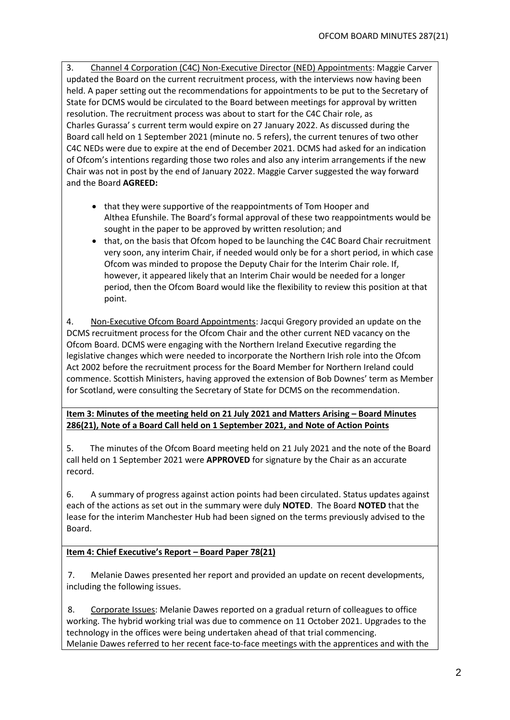3. Channel 4 Corporation (C4C) Non-Executive Director (NED) Appointments: Maggie Carver updated the Board on the current recruitment process, with the interviews now having been held. A paper setting out the recommendations for appointments to be put to the Secretary of State for DCMS would be circulated to the Board between meetings for approval by written resolution. The recruitment process was about to start for the C4C Chair role, as Charles Gurassa' s current term would expire on 27 January 2022. As discussed during the Board call held on 1 September 2021 (minute no. 5 refers), the current tenures of two other C4C NEDs were due to expire at the end of December 2021. DCMS had asked for an indication of Ofcom's intentions regarding those two roles and also any interim arrangements if the new Chair was not in post by the end of January 2022. Maggie Carver suggested the way forward and the Board **AGREED:**

- that they were supportive of the reappointments of Tom Hooper and Althea Efunshile. The Board's formal approval of these two reappointments would be sought in the paper to be approved by written resolution; and
- that, on the basis that Ofcom hoped to be launching the C4C Board Chair recruitment very soon, any interim Chair, if needed would only be for a short period, in which case Ofcom was minded to propose the Deputy Chair for the Interim Chair role. If, however, it appeared likely that an Interim Chair would be needed for a longer period, then the Ofcom Board would like the flexibility to review this position at that point.

4. Non-Executive Ofcom Board Appointments: Jacqui Gregory provided an update on the DCMS recruitment process for the Ofcom Chair and the other current NED vacancy on the Ofcom Board. DCMS were engaging with the Northern Ireland Executive regarding the legislative changes which were needed to incorporate the Northern Irish role into the Ofcom Act 2002 before the recruitment process for the Board Member for Northern Ireland could commence. Scottish Ministers, having approved the extension of Bob Downes' term as Member for Scotland, were consulting the Secretary of State for DCMS on the recommendation.

**Item 3: Minutes of the meeting held on 21 July 2021 and Matters Arising – Board Minutes 286(21), Note of a Board Call held on 1 September 2021, and Note of Action Points**

5. The minutes of the Ofcom Board meeting held on 21 July 2021 and the note of the Board call held on 1 September 2021 were **APPROVED** for signature by the Chair as an accurate record.

6. A summary of progress against action points had been circulated. Status updates against each of the actions as set out in the summary were duly **NOTED**. The Board **NOTED** that the lease for the interim Manchester Hub had been signed on the terms previously advised to the Board.

## **Item 4: Chief Executive's Report – Board Paper 78(21)**

7. Melanie Dawes presented her report and provided an update on recent developments, including the following issues.

8. Corporate Issues: Melanie Dawes reported on a gradual return of colleagues to office working. The hybrid working trial was due to commence on 11 October 2021. Upgrades to the technology in the offices were being undertaken ahead of that trial commencing. Melanie Dawes referred to her recent face-to-face meetings with the apprentices and with the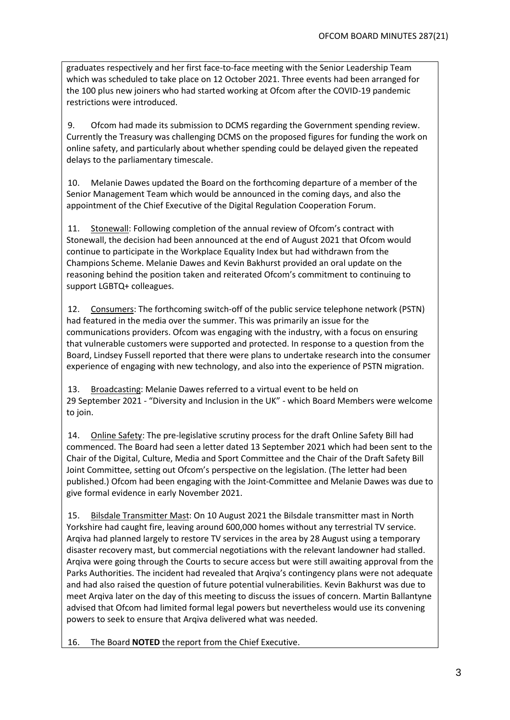graduates respectively and her first face-to-face meeting with the Senior Leadership Team which was scheduled to take place on 12 October 2021. Three events had been arranged for the 100 plus new joiners who had started working at Ofcom after the COVID-19 pandemic restrictions were introduced.

9. Ofcom had made its submission to DCMS regarding the Government spending review. Currently the Treasury was challenging DCMS on the proposed figures for funding the work on online safety, and particularly about whether spending could be delayed given the repeated delays to the parliamentary timescale.

10. Melanie Dawes updated the Board on the forthcoming departure of a member of the Senior Management Team which would be announced in the coming days, and also the appointment of the Chief Executive of the Digital Regulation Cooperation Forum.

11. Stonewall: Following completion of the annual review of Ofcom's contract with Stonewall, the decision had been announced at the end of August 2021 that Ofcom would continue to participate in the Workplace Equality Index but had withdrawn from the Champions Scheme. Melanie Dawes and Kevin Bakhurst provided an oral update on the reasoning behind the position taken and reiterated Ofcom's commitment to continuing to support LGBTQ+ colleagues.

12. Consumers: The forthcoming switch-off of the public service telephone network (PSTN) had featured in the media over the summer. This was primarily an issue for the communications providers. Ofcom was engaging with the industry, with a focus on ensuring that vulnerable customers were supported and protected. In response to a question from the Board, Lindsey Fussell reported that there were plans to undertake research into the consumer experience of engaging with new technology, and also into the experience of PSTN migration.

13. Broadcasting: Melanie Dawes referred to a virtual event to be held on 29 September 2021 - "Diversity and Inclusion in the UK" - which Board Members were welcome to join.

14. Online Safety: The pre-legislative scrutiny process for the draft Online Safety Bill had commenced. The Board had seen a letter dated 13 September 2021 which had been sent to the Chair of the Digital, Culture, Media and Sport Committee and the Chair of the Draft Safety Bill Joint Committee, setting out Ofcom's perspective on the legislation. (The letter had been published.) Ofcom had been engaging with the Joint-Committee and Melanie Dawes was due to give formal evidence in early November 2021.

15. Bilsdale Transmitter Mast: On 10 August 2021 the Bilsdale transmitter mast in North Yorkshire had caught fire, leaving around 600,000 homes without any terrestrial TV service. Arqiva had planned largely to restore TV services in the area by 28 August using a temporary disaster recovery mast, but commercial negotiations with the relevant landowner had stalled. Arqiva were going through the Courts to secure access but were still awaiting approval from the Parks Authorities. The incident had revealed that Arqiva's contingency plans were not adequate and had also raised the question of future potential vulnerabilities. Kevin Bakhurst was due to meet Arqiva later on the day of this meeting to discuss the issues of concern. Martin Ballantyne advised that Ofcom had limited formal legal powers but nevertheless would use its convening powers to seek to ensure that Arqiva delivered what was needed.

16. The Board **NOTED** the report from the Chief Executive.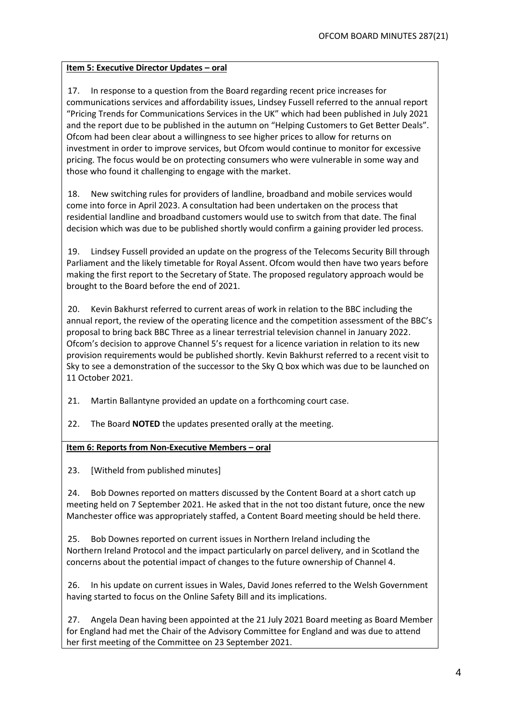## **Item 5: Executive Director Updates - oral**

17. In response to a question from the Board regarding recent price increases for communications services and affordability issues, Lindsey Fussell referred to the annual report "Pricing Trends for Communications Services in the UK" which had been published in July 2021 and the report due to be published in the autumn on "Helping Customers to Get Better Deals". Ofcom had been clear about a willingness to see higher prices to allow for returns on investment in order to improve services, but Ofcom would continue to monitor for excessive pricing. The focus would be on protecting consumers who were vulnerable in some way and those who found it challenging to engage with the market.

18. New switching rules for providers of landline, broadband and mobile services would come into force in April 2023. A consultation had been undertaken on the process that residential landline and broadband customers would use to switch from that date. The final decision which was due to be published shortly would confirm a gaining provider led process.

19. Lindsey Fussell provided an update on the progress of the Telecoms Security Bill through Parliament and the likely timetable for Royal Assent. Ofcom would then have two years before making the first report to the Secretary of State. The proposed regulatory approach would be brought to the Board before the end of 2021.

20. Kevin Bakhurst referred to current areas of work in relation to the BBC including the annual report, the review of the operating licence and the competition assessment of the BBC's proposal to bring back BBC Three as a linear terrestrial television channel in January 2022. Ofcom's decision to approve Channel 5's request for a licence variation in relation to its new provision requirements would be published shortly. Kevin Bakhurst referred to a recent visit to Sky to see a demonstration of the successor to the Sky Q box which was due to be launched on 11 October 2021.

21. Martin Ballantyne provided an update on a forthcoming court case.

22. The Board **NOTED** the updates presented orally at the meeting.

## **Item 6: Reports from Non-Executive Members – oral**

23. [Witheld from published minutes]

24. Bob Downes reported on matters discussed by the Content Board at a short catch up meeting held on 7 September 2021. He asked that in the not too distant future, once the new Manchester office was appropriately staffed, a Content Board meeting should be held there.

25. Bob Downes reported on current issues in Northern Ireland including the Northern Ireland Protocol and the impact particularly on parcel delivery, and in Scotland the concerns about the potential impact of changes to the future ownership of Channel 4.

26. In his update on current issues in Wales, David Jones referred to the Welsh Government having started to focus on the Online Safety Bill and its implications.

27. Angela Dean having been appointed at the 21 July 2021 Board meeting as Board Member for England had met the Chair of the Advisory Committee for England and was due to attend her first meeting of the Committee on 23 September 2021.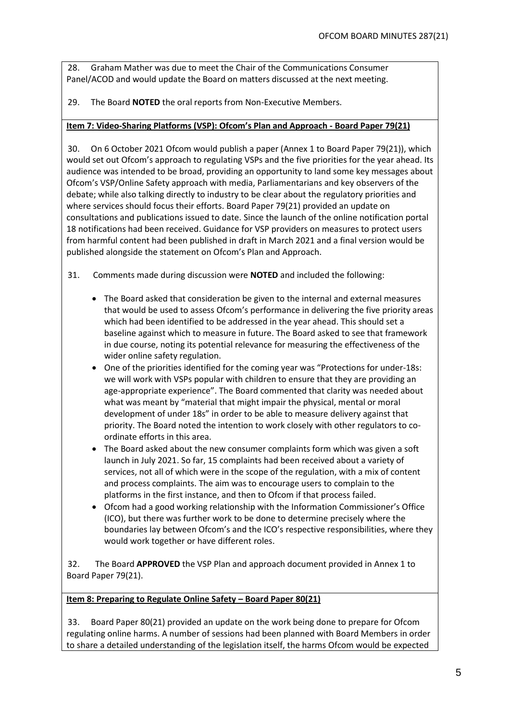28. Graham Mather was due to meet the Chair of the Communications Consumer Panel/ACOD and would update the Board on matters discussed at the next meeting.

29. The Board **NOTED** the oral reports from Non-Executive Members.

#### **Item 7: Video-Sharing Platforms (VSP): Ofcom's Plan and Approach - Board Paper 79(21)**

30. On 6 October 2021 Ofcom would publish a paper (Annex 1 to Board Paper 79(21)), which would set out Ofcom's approach to regulating VSPs and the five priorities for the year ahead. Its audience was intended to be broad, providing an opportunity to land some key messages about Ofcom's VSP/Online Safety approach with media, Parliamentarians and key observers of the debate; while also talking directly to industry to be clear about the regulatory priorities and where services should focus their efforts. Board Paper 79(21) provided an update on consultations and publications issued to date. Since the launch of the online notification portal 18 notifications had been received. Guidance for VSP providers on measures to protect users from harmful content had been published in draft in March 2021 and a final version would be published alongside the statement on Ofcom's Plan and Approach.

31. Comments made during discussion were **NOTED** and included the following:

- The Board asked that consideration be given to the internal and external measures that would be used to assess Ofcom's performance in delivering the five priority areas which had been identified to be addressed in the year ahead. This should set a baseline against which to measure in future. The Board asked to see that framework in due course, noting its potential relevance for measuring the effectiveness of the wider online safety regulation.
- One of the priorities identified for the coming year was "Protections for under-18s: we will work with VSPs popular with children to ensure that they are providing an age-appropriate experience". The Board commented that clarity was needed about what was meant by "material that might impair the physical, mental or moral development of under 18s" in order to be able to measure delivery against that priority. The Board noted the intention to work closely with other regulators to coordinate efforts in this area.
- The Board asked about the new consumer complaints form which was given a soft launch in July 2021. So far, 15 complaints had been received about a variety of services, not all of which were in the scope of the regulation, with a mix of content and process complaints. The aim was to encourage users to complain to the platforms in the first instance, and then to Ofcom if that process failed.
- Ofcom had a good working relationship with the Information Commissioner's Office (ICO), but there was further work to be done to determine precisely where the boundaries lay between Ofcom's and the ICO's respective responsibilities, where they would work together or have different roles.

32. The Board **APPROVED** the VSP Plan and approach document provided in Annex 1 to Board Paper 79(21).

#### **Item 8: Preparing to Regulate Online Safety – Board Paper 80(21)**

33. Board Paper 80(21) provided an update on the work being done to prepare for Ofcom regulating online harms. A number of sessions had been planned with Board Members in order to share a detailed understanding of the legislation itself, the harms Ofcom would be expected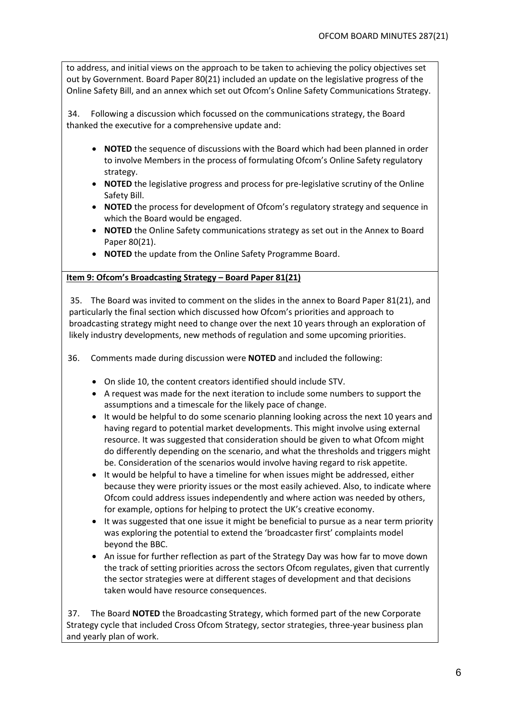to address, and initial views on the approach to be taken to achieving the policy objectives set out by Government. Board Paper 80(21) included an update on the legislative progress of the Online Safety Bill, and an annex which set out Ofcom's Online Safety Communications Strategy.

34. Following a discussion which focussed on the communications strategy, the Board thanked the executive for a comprehensive update and:

- **NOTED** the sequence of discussions with the Board which had been planned in order to involve Members in the process of formulating Ofcom's Online Safety regulatory strategy.
- **NOTED** the legislative progress and process for pre-legislative scrutiny of the Online Safety Bill.
- **NOTED** the process for development of Ofcom's regulatory strategy and sequence in which the Board would be engaged.
- **NOTED** the Online Safety communications strategy as set out in the Annex to Board Paper 80(21).
- **NOTED** the update from the Online Safety Programme Board.

### **Item 9: Ofcom's Broadcasting Strategy – Board Paper 81(21)**

35. The Board was invited to comment on the slides in the annex to Board Paper 81(21), and particularly the final section which discussed how Ofcom's priorities and approach to broadcasting strategy might need to change over the next 10 years through an exploration of likely industry developments, new methods of regulation and some upcoming priorities.

36. Comments made during discussion were **NOTED** and included the following:

- On slide 10, the content creators identified should include STV.
- A request was made for the next iteration to include some numbers to support the assumptions and a timescale for the likely pace of change.
- It would be helpful to do some scenario planning looking across the next 10 years and having regard to potential market developments. This might involve using external resource. It was suggested that consideration should be given to what Ofcom might do differently depending on the scenario, and what the thresholds and triggers might be. Consideration of the scenarios would involve having regard to risk appetite.
- It would be helpful to have a timeline for when issues might be addressed, either because they were priority issues or the most easily achieved. Also, to indicate where Ofcom could address issues independently and where action was needed by others, for example, options for helping to protect the UK's creative economy.
- It was suggested that one issue it might be beneficial to pursue as a near term priority was exploring the potential to extend the 'broadcaster first' complaints model beyond the BBC.
- An issue for further reflection as part of the Strategy Day was how far to move down the track of setting priorities across the sectors Ofcom regulates, given that currently the sector strategies were at different stages of development and that decisions taken would have resource consequences.

37. The Board **NOTED** the Broadcasting Strategy, which formed part of the new Corporate Strategy cycle that included Cross Ofcom Strategy, sector strategies, three-year business plan and yearly plan of work.